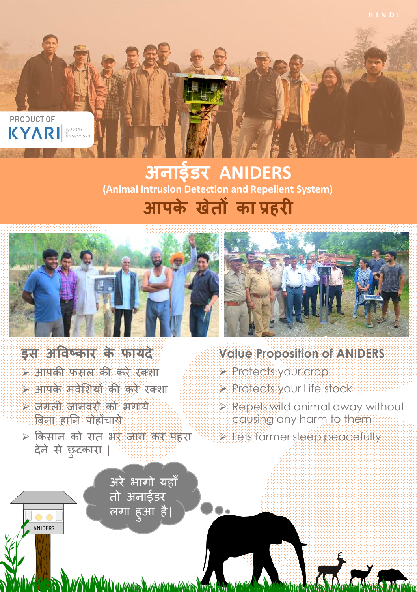

## **अनाईडर ANIDERS आपके खेतों का प्रहरी (Animal Intrusion Detection and Repellent System)**



### **इस अविष्कार के फायदे**

- ➢ आपकी फसल की करे रक्शा
- ➢ आपके मवेशशयों की करे रक्शा
- ➢ जंगली जानवरों को भगाये बिना हानन पोहोंचाये

ANIDERS

➢ ककसान को रात भर जाग कर पहरा देने से छुटकारा |

> <u>अरे</u> भागो यहाँ तो अनाईडर <u>लिंगा हुआ है।</u>

> > **LAMA LAMALAMA**



- **Value Proposition of ANIDERS**
- ➢ Protects your crop
- ➢ Protects your Life stock
- ➢ Repels wild animal away without causing any harm to them
- ➢ Lets farmer sleep peacefully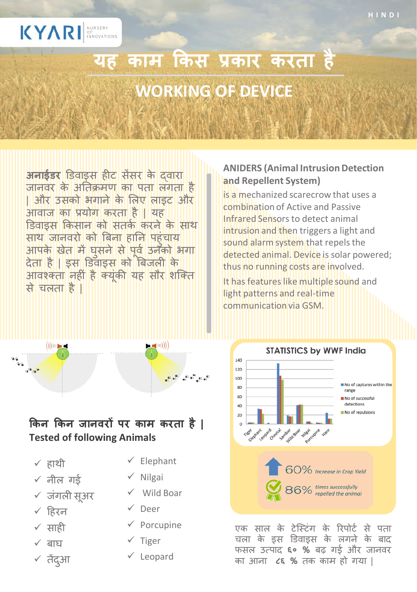

# यह काम किस प्रकार करता है **WORKING OF DEVICE**

**अनाईडर** डडवाइस हीट सेंसर के द्वारा जानवर के अनतक्रमण का पता लगता है | और उसको भगाने के शलए लाइट और आवाज का प्रयोग करता है | यह डिवाइस किसान को सतर्क करने के साथ साथ जानवरो को बिना हानन पहुंचाय आपके खेत में घसने से पर्व उनको भगा देता है | इस डडवाइस को बिजली के आवश्कक्ता नहीं हैक्यूंकी यह सौर शक्क्त से चलता है |

#### **ANIDERS (Animal Intrusion Detection and Repellent System)**

is a mechanized scarecrow that uses a combination of Active and Passive Infrared Sensors to detect animal intrusion and then triggers a light and sound alarm system that repels the detected animal. Device is solar powered; thus no running costs are involved.

It has features like multiple sound and light patterns and real-time communication via GSM.



एक साल के टेस्टिंग के रिपोर्ट से पता चला के इस डिवाइस के लगने के बाद फसल उत्पाद **६० %** िढ़ गई और जानवर का आना **८६ %** तक काम हो गया |

# **ककन ककन जानिरों पर काम करता हरै | Tested of following Animals**

✓ हाथी

- $\times$  नील गई
- $\times$  जंगली सअर
- ✓ हहरन
- ✓ साही
- $\checkmark$  बाघ
- ✓ तेंदआु

✓ Elephant

 $-$  (((((  $-$ 

**AP BEAT** 

- ✓ Nilgai
- ✓ Wild Boar
- ✓ Deer
- ✓ Porcupine
- ✓ Tiger
- ✓ Leopard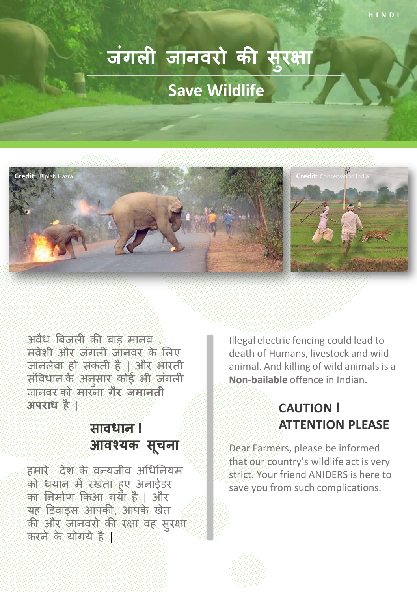# **जंगल जानिरो की स ु रक्षा Save Wildlife**



अवैध बिजली की िाड़ मानव , मवेशी और जंगली जानवर के शलए जानलेवा हो सकती है | और भारती संविधान के अनुसार कोई भी जंगली जानवर को मारना **गैर जमानती अपराध** है |

### **सािधान ! आिश्यक सू चना**

हमारे देश के वन्यजीव अधिनियम को धयान में रखता हुए अनाईडर का ननमाकण ककआ गया है | और यह डडवाइस आपकी, आपके खेत की और जानवरो की रक्षा वह सुरक्षा करने के योगये है |

Illegal electric fencing could lead to death of Humans, livestock and wild animal. And killing of wild animals is a **Non-bailable** offence in Indian.

#### **CAUTION ! ATTENTION PLEASE**

Dear Farmers, please be informed that our country's wildlife act is very strict. Your friend ANIDERS is here to save you from such complications.